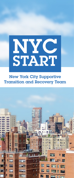

New York City Supportive Transition and Recovery Team

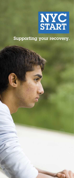

#### Supporting your recovery.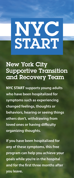# NYC START

## New York City Supportive Transition and Recovery Team

**NYC START supports young adults who have been hospitalized for symptoms such as experiencing changed feelings, thoughts or behaviors, hearing or seeing things others don't, withdrawing from loved ones or having difficulty organizing thoughts.** 

**If you have been hospitalized for any of these symptoms, this free program can help you achieve your goals while you're in the hospital and for the first three months after you leave.**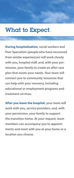### What to Expect

**During hospitalization, social workers and Peer Specialists (people who have recovered from similar experiences) will work closely with you, hospital staff, and, with your permission, your family to create an after care plan that meets your needs. Your team will connect you to community resources that can help with your recovery, including educational or employment programs and treatment services.**

**After you leave the hospital, your team will work with you, service providers, and, with your permission, your family to support the transition home. At your request, team members can accompany you to appointments and meet with you at your home or a location you choose.**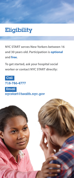## Eligibility

**NYC START serves New Yorkers between 16 and 30 years old. Participation is optional and free.**

**To get started, ask your hospital social worker or contact NYC START directly:**



nycstart@health.nyc.gov